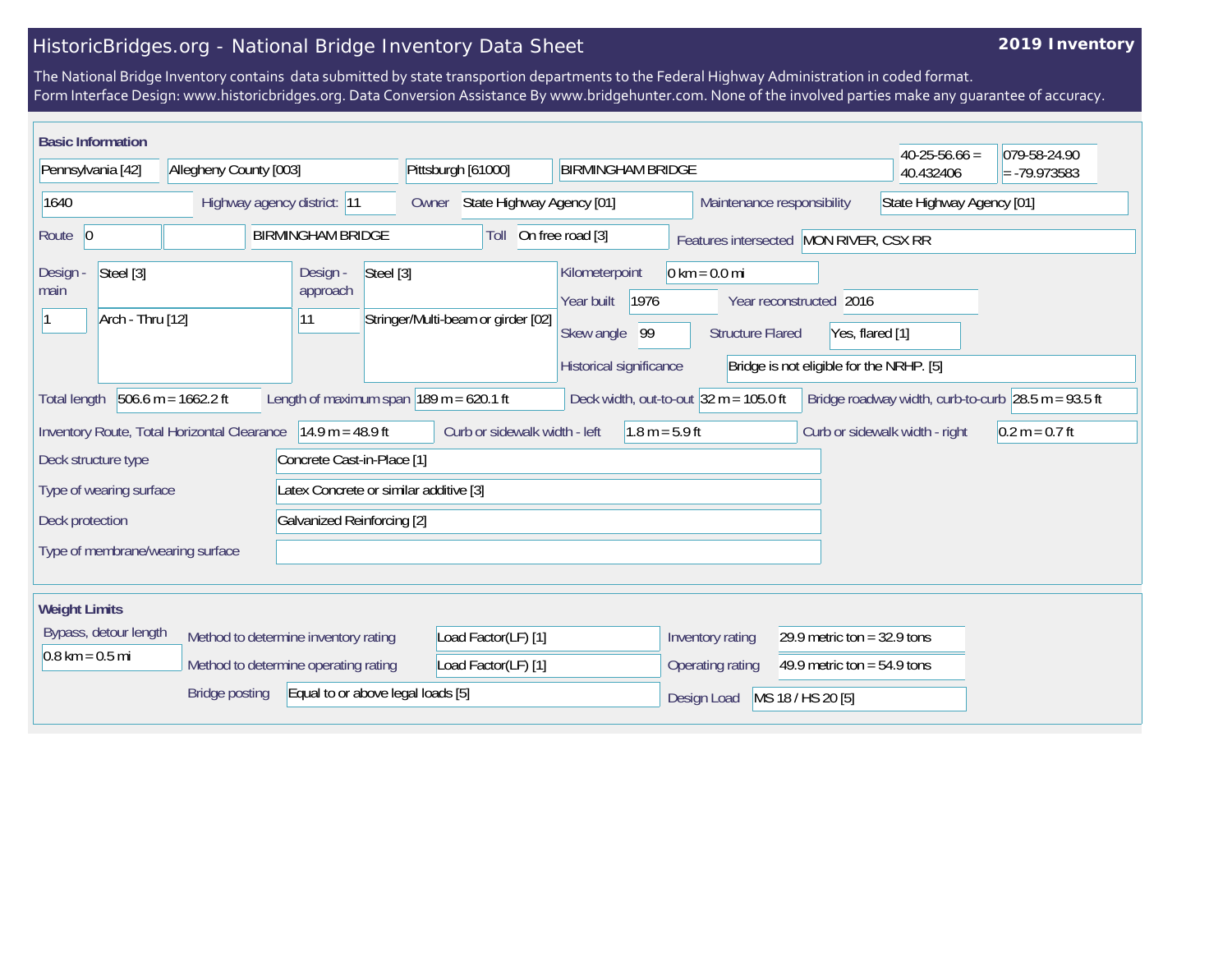## HistoricBridges.org - National Bridge Inventory Data Sheet

## **2019 Inventory**

The National Bridge Inventory contains data submitted by state transportion departments to the Federal Highway Administration in coded format. Form Interface Design: www.historicbridges.org. Data Conversion Assistance By www.bridgehunter.com. None of the involved parties make any guarantee of accuracy.

| <b>Basic Information</b>                                                                                                                                                                                                                    |  |                                      |                                                 |                               |                                                                                                                                                                                                                                             |                  |                                  |                               |                                        | $40-25-56.66 =$           | 079-58-24.90   |
|---------------------------------------------------------------------------------------------------------------------------------------------------------------------------------------------------------------------------------------------|--|--------------------------------------|-------------------------------------------------|-------------------------------|---------------------------------------------------------------------------------------------------------------------------------------------------------------------------------------------------------------------------------------------|------------------|----------------------------------|-------------------------------|----------------------------------------|---------------------------|----------------|
| Pennsylvania [42]                                                                                                                                                                                                                           |  | Allegheny County [003]               |                                                 |                               | Pittsburgh [61000]                                                                                                                                                                                                                          |                  | <b>BIRMINGHAM BRIDGE</b>         |                               |                                        | 40.432406                 | $= -79.973583$ |
| 1640                                                                                                                                                                                                                                        |  |                                      | Highway agency district: 11                     | Owner                         | State Highway Agency [01]                                                                                                                                                                                                                   |                  |                                  |                               | Maintenance responsibility             | State Highway Agency [01] |                |
| Route $ 0$                                                                                                                                                                                                                                  |  |                                      | <b>BIRMINGHAM BRIDGE</b>                        |                               | Toll                                                                                                                                                                                                                                        | On free road [3] |                                  |                               | Features intersected MON RIVER, CSX RR |                           |                |
| Steel [3]<br>Design -<br>main<br>Arch - Thru [12]<br> 11                                                                                                                                                                                    |  | Design -<br>approach                 | Steel [3]<br>Stringer/Multi-beam or girder [02] |                               | $0 \text{ km} = 0.0 \text{ mi}$<br>Kilometerpoint<br>Year built<br>1976<br>Year reconstructed 2016<br>Skew angle<br>99<br><b>Structure Flared</b><br>Yes, flared [1]<br>Historical significance<br>Bridge is not eligible for the NRHP. [5] |                  |                                  |                               |                                        |                           |                |
| $506.6$ m = 1662.2 ft<br>Length of maximum span $ 189 \text{ m} = 620.1 \text{ ft} $<br>Deck width, out-to-out $32 \text{ m} = 105.0 \text{ ft}$<br>Bridge roadway width, curb-to-curb $ 28.5 \text{ m} = 93.5 \text{ ft} $<br>Total length |  |                                      |                                                 |                               |                                                                                                                                                                                                                                             |                  |                                  |                               |                                        |                           |                |
| $14.9 m = 48.9 ft$<br>Inventory Route, Total Horizontal Clearance                                                                                                                                                                           |  |                                      |                                                 | Curb or sidewalk width - left |                                                                                                                                                                                                                                             | $1.8 m = 5.9 ft$ |                                  |                               | Curb or sidewalk width - right         | $0.2 m = 0.7 ft$          |                |
| Deck structure type                                                                                                                                                                                                                         |  |                                      | Concrete Cast-in-Place [1]                      |                               |                                                                                                                                                                                                                                             |                  |                                  |                               |                                        |                           |                |
| Type of wearing surface<br>Latex Concrete or similar additive [3]                                                                                                                                                                           |  |                                      |                                                 |                               |                                                                                                                                                                                                                                             |                  |                                  |                               |                                        |                           |                |
| Galvanized Reinforcing [2]<br>Deck protection                                                                                                                                                                                               |  |                                      |                                                 |                               |                                                                                                                                                                                                                                             |                  |                                  |                               |                                        |                           |                |
| Type of membrane/wearing surface                                                                                                                                                                                                            |  |                                      |                                                 |                               |                                                                                                                                                                                                                                             |                  |                                  |                               |                                        |                           |                |
| <b>Weight Limits</b>                                                                                                                                                                                                                        |  |                                      |                                                 |                               |                                                                                                                                                                                                                                             |                  |                                  |                               |                                        |                           |                |
| Bypass, detour length<br>$0.8 \text{ km} = 0.5 \text{ mi}$                                                                                                                                                                                  |  | Method to determine inventory rating |                                                 | Load Factor(LF) [1]           |                                                                                                                                                                                                                                             |                  | Inventory rating                 | 29.9 metric ton = $32.9$ tons |                                        |                           |                |
|                                                                                                                                                                                                                                             |  | Method to determine operating rating |                                                 |                               | Load Factor(LF) [1]                                                                                                                                                                                                                         |                  |                                  | Operating rating              | 49.9 metric ton = $54.9$ tons          |                           |                |
| <b>Bridge posting</b><br>Equal to or above legal loads [5]                                                                                                                                                                                  |  |                                      |                                                 |                               |                                                                                                                                                                                                                                             |                  | Design Load<br>MS 18 / HS 20 [5] |                               |                                        |                           |                |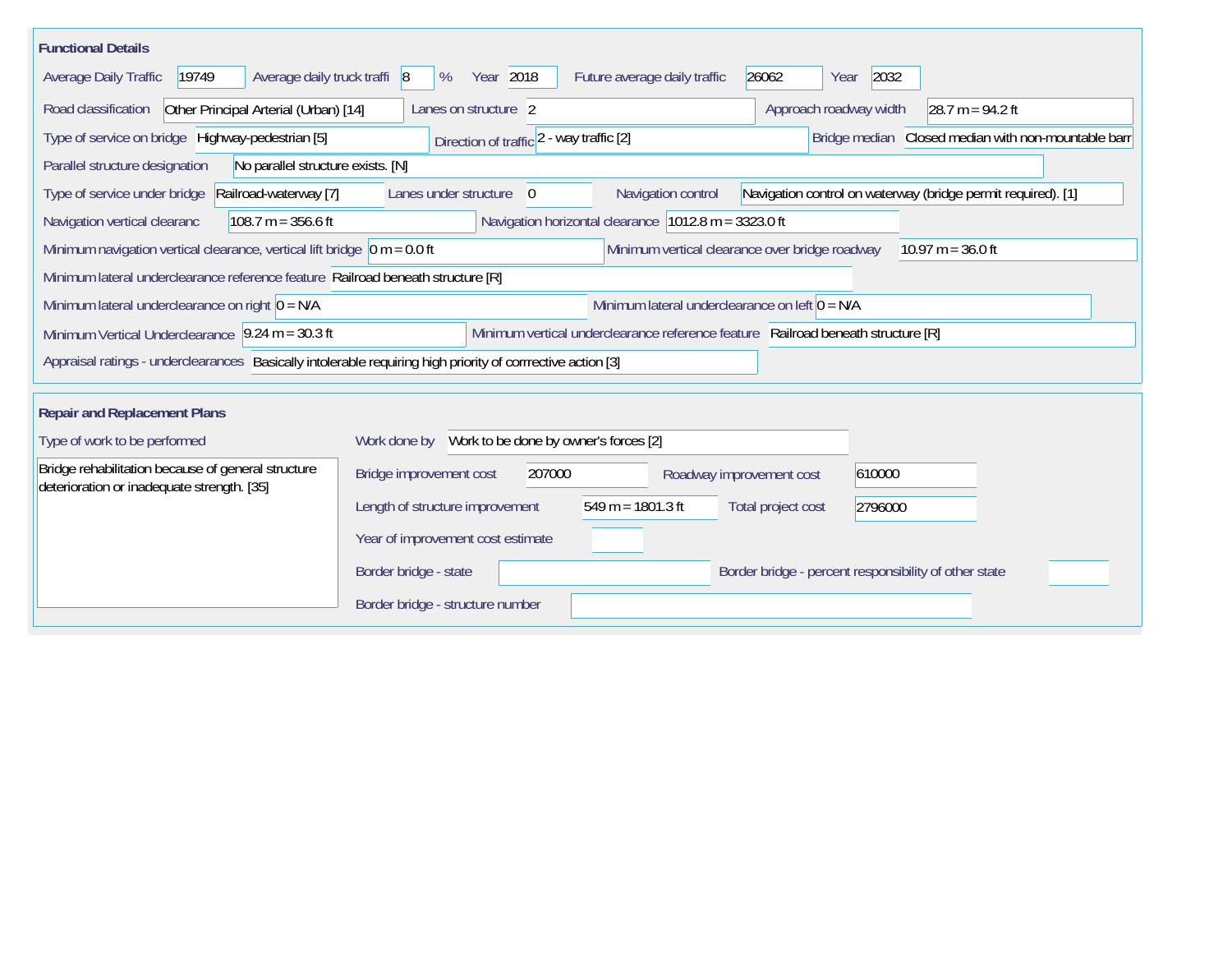| <b>Functional Details</b>                                                                                                                                 |                                                       |                                    |                        |                                                              |  |  |  |
|-----------------------------------------------------------------------------------------------------------------------------------------------------------|-------------------------------------------------------|------------------------------------|------------------------|--------------------------------------------------------------|--|--|--|
| Average daily truck traffi 8<br>Average Daily Traffic<br>19749                                                                                            | Year 2018<br>%                                        | Future average daily traffic       | 26062<br>Year          | 2032                                                         |  |  |  |
| Road classification<br>Other Principal Arterial (Urban) [14]                                                                                              | Lanes on structure 2                                  |                                    | Approach roadway width | $28.7 m = 94.2 ft$                                           |  |  |  |
| Type of service on bridge Highway-pedestrian [5]                                                                                                          | Direction of traffic 2 - way traffic [2]              |                                    |                        | Bridge median Closed median with non-mountable barr          |  |  |  |
| No parallel structure exists. [N]<br>Parallel structure designation                                                                                       |                                                       |                                    |                        |                                                              |  |  |  |
| Type of service under bridge<br>Railroad-waterway [7]                                                                                                     | Lanes under structure<br>$\overline{0}$               | Navigation control                 |                        | Navigation control on waterway (bridge permit required). [1] |  |  |  |
| $108.7 m = 356.6 ft$<br>Navigation vertical clearanc                                                                                                      | Navigation horizontal clearance 1012.8 m = 3323.0 ft  |                                    |                        |                                                              |  |  |  |
| Minimum vertical clearance over bridge roadway<br>Minimum navigation vertical clearance, vertical lift bridge $\vert$ 0 m = 0.0 ft<br>$10.97 m = 36.0 ft$ |                                                       |                                    |                        |                                                              |  |  |  |
| Minimum lateral underclearance reference feature Railroad beneath structure [R]                                                                           |                                                       |                                    |                        |                                                              |  |  |  |
| Minimum lateral underclearance on right $0 = N/A$                                                                                                         | Minimum lateral underclearance on left $0 = N/A$      |                                    |                        |                                                              |  |  |  |
| Minimum Vertical Underclearance $ 9.24 \text{ m} = 30.3 \text{ ft} $<br>Minimum vertical underclearance reference feature Railroad beneath structure [R]  |                                                       |                                    |                        |                                                              |  |  |  |
| Appraisal ratings - underclearances Basically intolerable requiring high priority of corrrective action [3]                                               |                                                       |                                    |                        |                                                              |  |  |  |
| <b>Repair and Replacement Plans</b>                                                                                                                       |                                                       |                                    |                        |                                                              |  |  |  |
| Type of work to be performed                                                                                                                              | Work to be done by owner's forces [2]<br>Work done by |                                    |                        |                                                              |  |  |  |
| Bridge rehabilitation because of general structure<br>deterioration or inadequate strength. [35]                                                          | Bridge improvement cost<br>207000                     | 610000<br>Roadway improvement cost |                        |                                                              |  |  |  |
|                                                                                                                                                           | Length of structure improvement                       | $549 m = 1801.3 ft$                | Total project cost     | 2796000                                                      |  |  |  |
|                                                                                                                                                           | Year of improvement cost estimate                     |                                    |                        |                                                              |  |  |  |
|                                                                                                                                                           | Border bridge - state                                 |                                    |                        | Border bridge - percent responsibility of other state        |  |  |  |
|                                                                                                                                                           | Border bridge - structure number                      |                                    |                        |                                                              |  |  |  |